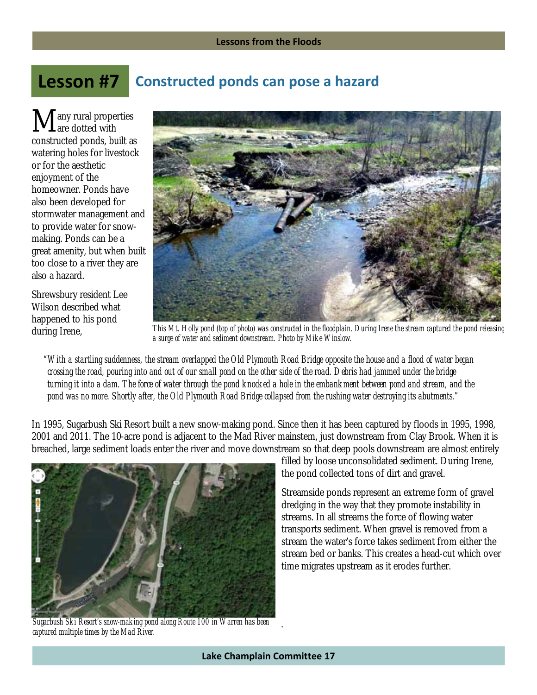## **Constructed ponds can pose a hazard Lesson #7**

any rural properties are dotted with constructed ponds, built as watering holes for livestock or for the aesthetic enjoyment of the homeowner. Ponds have also been developed for stormwater management and to provide water for snowmaking. Ponds can be a great amenity, but when built too close to a river they are also a hazard.  $\mathbf{M}_{\text{ar}}^{\text{ar}}$ 

Shrewsbury resident Lee Wilson described what happened to his pond during Irene,



*This Mt. Holly pond (top of photo) was constructed in the floodplain. During Irene the stream captured the pond releasing a surge of water and sediment downstream. Photo by Mike Winslow.* 

*"With a startling suddenness, the stream overlapped the Old Plymouth Road Bridge opposite the house and a flood of water began crossing the road, pouring into and out of our small pond on the other side of the road. Debris had jammed under the bridge turning it into a dam. The force of water through the pond knocked a hole in the embankment between pond and stream, and the pond was no more. Shortly after, the Old Plymouth Road Bridge collapsed from the rushing water destroying its abutments."* 

In 1995, Sugarbush Ski Resort built a new snow-making pond. Since then it has been captured by floods in 1995, 1998, 2001 and 2011. The 10-acre pond is adjacent to the Mad River mainstem, just downstream from Clay Brook. When it is breached, large sediment loads enter the river and move downstream so that deep pools downstream are almost entirely



*Sugarbush Ski Resort's snow-making pond along Route 100 in Warren has been captured multiple times by the Mad River.* 

filled by loose unconsolidated sediment. During Irene, the pond collected tons of dirt and gravel.

Streamside ponds represent an extreme form of gravel dredging in the way that they promote instability in streams. In all streams the force of flowing water transports sediment. When gravel is removed from a stream the water's force takes sediment from either the stream bed or banks. This creates a head-cut which over time migrates upstream as it erodes further.

.